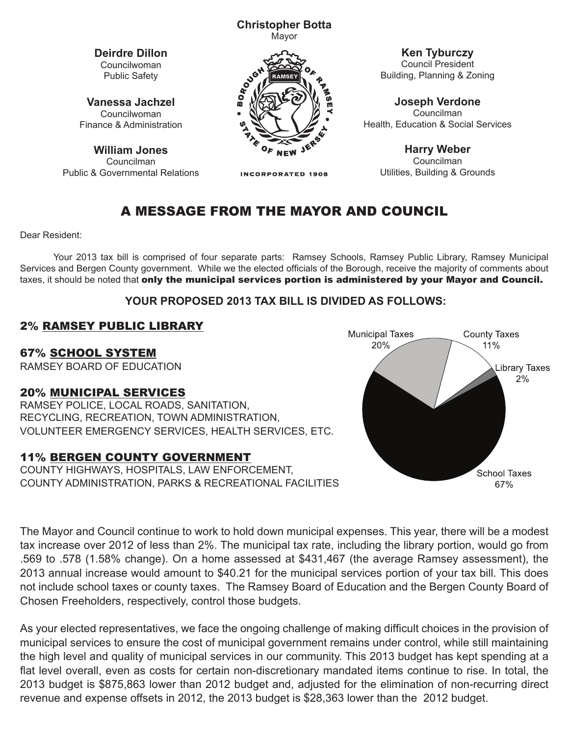#### **Christopher Botta** Mayor

**Deirdre Dillon** Councilwoman Public Safety

**Vanessa Jachzel** Councilwoman Finance & Administration

**William Jones** Councilman Public & Governmental Relations



**INCORPORATED 1908** 

**Ken Tyburczy** Council President Building, Planning & Zoning

**Joseph Verdone** Councilman Health, Education & Social Services

> **Harry Weber** Councilman Utilities, Building & Grounds

# A MESSAGE FROM THE MAYOR AND COUNCIL

Dear Resident:

Your 2013 tax bill is comprised of four separate parts: Ramsey Schools, Ramsey Public Library, Ramsey Municipal Services and Bergen County government. While we the elected officials of the Borough, receive the majority of comments about taxes, it should be noted that only the municipal services portion is administered by your Mayor and Council.

#### **YOUR PROPOSED 2013 TAX BILL IS DIVIDED AS FOLLOWS:**

### 2% RAMSEY PUBLIC LIBRARY

67% SCHOOL SYSTEM

RAMSEY BOARD OF EDUCATION

#### 20% MUNICIPAL SERVICES

RAMSEY POLICE, LOCAL ROADS, SANITATION, RECYCLING, RECREATION, TOWN ADMINISTRATION, VOLUNTEER EMERGENCY SERVICES, HEALTH SERVICES, ETC.

#### 11% BERGEN COUNTY GOVERNMENT

COUNTY HIGHWAYS, HOSPITALS, LAW ENFORCEMENT, COUNTY ADMINISTRATION, PARKS & RECREATIONAL FACILITIES



2011 The Mayor and Council continue to work to hold down municipal expenses. This year, there will be a modest<br>And increased as 2004 of lace there 2006. The manifold line when it is the line the second parties are also fr The Mayor and Council continue to work to hold down municipal expenses. This year, there will be a modest<br>tax increase over 2012 of less than 2%. The municipal tax rate, including the library portion, would go from .569 to .578 (1.58% change). On a home assessed at \$431,467 (the average Ramsey assessment), the 2013 annual increase would amount to \$40.21 for the municipal services portion of your tax bill. This does not include school taxes or county taxes. The Ramsey Board of Education and the Bergen County Board of Chosen Freeholders, respectively, control those budgets.

As your elected representatives, we face the ongoing challenge of making difficult choices in the provision of municipal services to ensure the cost of municipal government remains under control, while still maintaining the high level and quality of municipal services in our community. This 2013 budget has kept spending at a flat level overall, even as costs for certain non-discretionary mandated items continue to rise. In total, the 2013 budget is \$875,863 lower than 2012 budget and, adjusted for the elimination of non-recurring direct revenue and expense offsets in 2012, the 2013 budget is \$28,363 lower than the 2012 budget.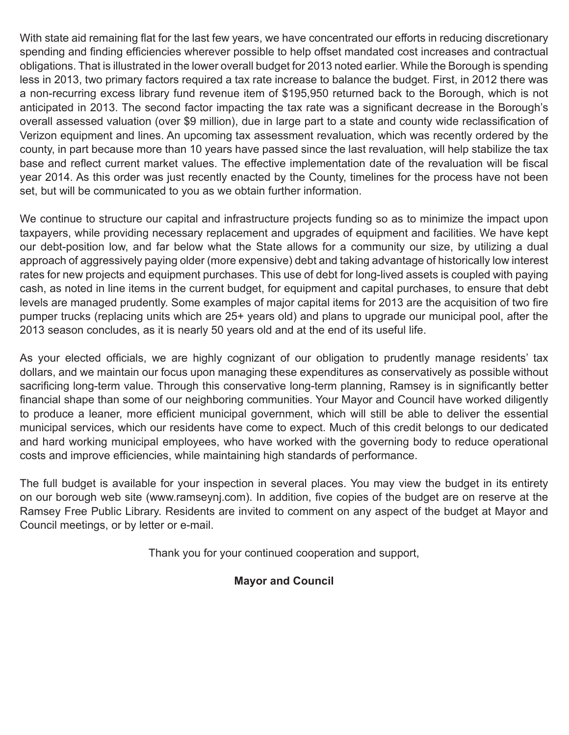With state aid remaining flat for the last few years, we have concentrated our efforts in reducing discretionary spending and finding efficiencies wherever possible to help offset mandated cost increases and contractual obligations. That is illustrated in the lower overall budget for 2013 noted earlier. While the Borough is spending less in 2013, two primary factors required a tax rate increase to balance the budget. First, in 2012 there was a non-recurring excess library fund revenue item of \$195,950 returned back to the Borough, which is not anticipated in 2013. The second factor impacting the tax rate was a significant decrease in the Borough's overall assessed valuation (over \$9 million), due in large part to a state and county wide reclassification of Verizon equipment and lines. An upcoming tax assessment revaluation, which was recently ordered by the county, in part because more than 10 years have passed since the last revaluation, will help stabilize the tax base and reflect current market values. The effective implementation date of the revaluation will be fiscal year 2014. As this order was just recently enacted by the County, timelines for the process have not been set, but will be communicated to you as we obtain further information.

We continue to structure our capital and infrastructure projects funding so as to minimize the impact upon taxpayers, while providing necessary replacement and upgrades of equipment and facilities. We have kept our debt-position low, and far below what the State allows for a community our size, by utilizing a dual approach of aggressively paying older (more expensive) debt and taking advantage of historically low interest rates for new projects and equipment purchases. This use of debt for long-lived assets is coupled with paying cash, as noted in line items in the current budget, for equipment and capital purchases, to ensure that debt levels are managed prudently. Some examples of major capital items for 2013 are the acquisition of two fire pumper trucks (replacing units which are 25+ years old) and plans to upgrade our municipal pool, after the 2013 season concludes, as it is nearly 50 years old and at the end of its useful life.

As your elected officials, we are highly cognizant of our obligation to prudently manage residents' tax dollars, and we maintain our focus upon managing these expenditures as conservatively as possible without sacrificing long-term value. Through this conservative long-term planning, Ramsey is in significantly better financial shape than some of our neighboring communities. Your Mayor and Council have worked diligently to produce a leaner, more efficient municipal government, which will still be able to deliver the essential municipal services, which our residents have come to expect. Much of this credit belongs to our dedicated and hard working municipal employees, who have worked with the governing body to reduce operational costs and improve efficiencies, while maintaining high standards of performance.

The full budget is available for your inspection in several places. You may view the budget in its entirety on our borough web site (www.ramseynj.com). In addition, five copies of the budget are on reserve at the Ramsey Free Public Library. Residents are invited to comment on any aspect of the budget at Mayor and Council meetings, or by letter or e-mail.

Thank you for your continued cooperation and support,

#### **Mayor and Council**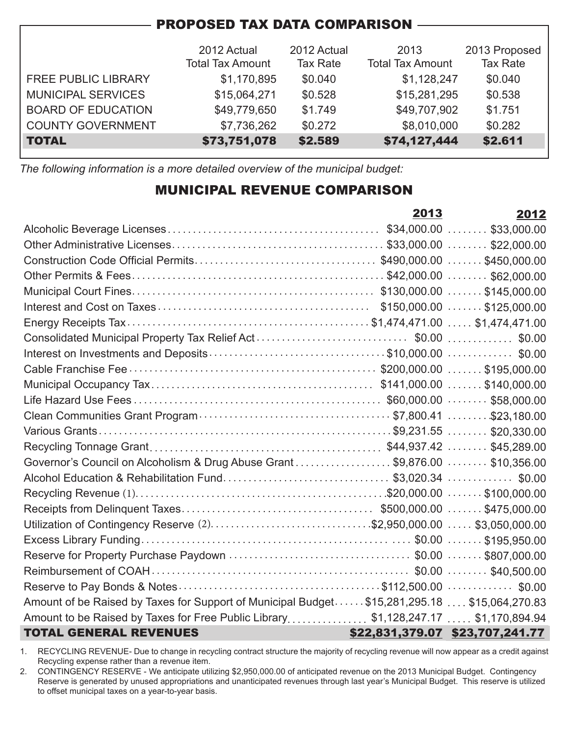| <b>PROPOSED TAX DATA COMPARISON</b> |                         |                 |                         |                 |  |  |  |
|-------------------------------------|-------------------------|-----------------|-------------------------|-----------------|--|--|--|
|                                     |                         |                 |                         |                 |  |  |  |
|                                     | 2012 Actual             | 2012 Actual     | 2013                    | 2013 Proposed   |  |  |  |
|                                     | <b>Total Tax Amount</b> | <b>Tax Rate</b> | <b>Total Tax Amount</b> | <b>Tax Rate</b> |  |  |  |
| <b>FREE PUBLIC LIBRARY</b>          | \$1,170,895             | \$0.040         | \$1,128,247             | \$0.040         |  |  |  |
| <b>MUNICIPAL SERVICES</b>           | \$15,064,271            | \$0.528         | \$15,281,295            | \$0.538         |  |  |  |
| <b>BOARD OF EDUCATION</b>           | \$49,779,650            | \$1.749         | \$49,707,902            | \$1.751         |  |  |  |
| <b>COUNTY GOVERNMENT</b>            | \$7,736,262             | \$0.272         | \$8,010,000             | \$0.282         |  |  |  |
| <b>TOTAL</b>                        | \$73,751,078            | \$2.589         | \$74,127,444            | \$2.611         |  |  |  |

*The following information is a more detailed overview of the municipal budget:*

### MUNICIPAL REVENUE COMPARISON

|                                                                                             | 2013 | 2012                            |
|---------------------------------------------------------------------------------------------|------|---------------------------------|
|                                                                                             |      |                                 |
|                                                                                             |      |                                 |
|                                                                                             |      |                                 |
|                                                                                             |      |                                 |
|                                                                                             |      |                                 |
|                                                                                             |      |                                 |
|                                                                                             |      |                                 |
|                                                                                             |      |                                 |
| Interest on Investments and Deposits\$10,000.00 \$0.00                                      |      |                                 |
|                                                                                             |      |                                 |
|                                                                                             |      |                                 |
|                                                                                             |      |                                 |
|                                                                                             |      |                                 |
|                                                                                             |      |                                 |
|                                                                                             |      |                                 |
| Governor's Council on Alcoholism & Drug Abuse Grant \$9,876.00 \$10,356.00                  |      |                                 |
| Alcohol Education & Rehabilitation Fund\$3,020.34 \$0.00                                    |      |                                 |
|                                                                                             |      |                                 |
|                                                                                             |      |                                 |
| Utilization of Contingency Reserve (2)\$2,950,000.00  \$3,050,000.00                        |      |                                 |
|                                                                                             |      |                                 |
|                                                                                             |      |                                 |
|                                                                                             |      |                                 |
|                                                                                             |      |                                 |
| Amount of be Raised by Taxes for Support of Municipal Budget\$15,281,295.18 \$15,064,270.83 |      |                                 |
| Amount to be Raised by Taxes for Free Public Library\$1,128,247.17 \$1,170,894.94           |      |                                 |
| <b>TOTAL GENERAL REVENUES</b>                                                               |      | \$22,831,379.07 \$23,707,241.77 |

1. RECYCLING REVENUE- Due to change in recycling contract structure the majority of recycling revenue will now appear as a credit against Recycling expense rather than a revenue item.

2. CONTINGENCY RESERVE - We anticipate utilizing \$2,950,000.00 of anticipated revenue on the 2013 Municipal Budget. Contingency Reserve is generated by unused appropriations and unanticipated revenues through last year's Municipal Budget. This reserve is utilized to offset municipal taxes on a year-to-year basis.